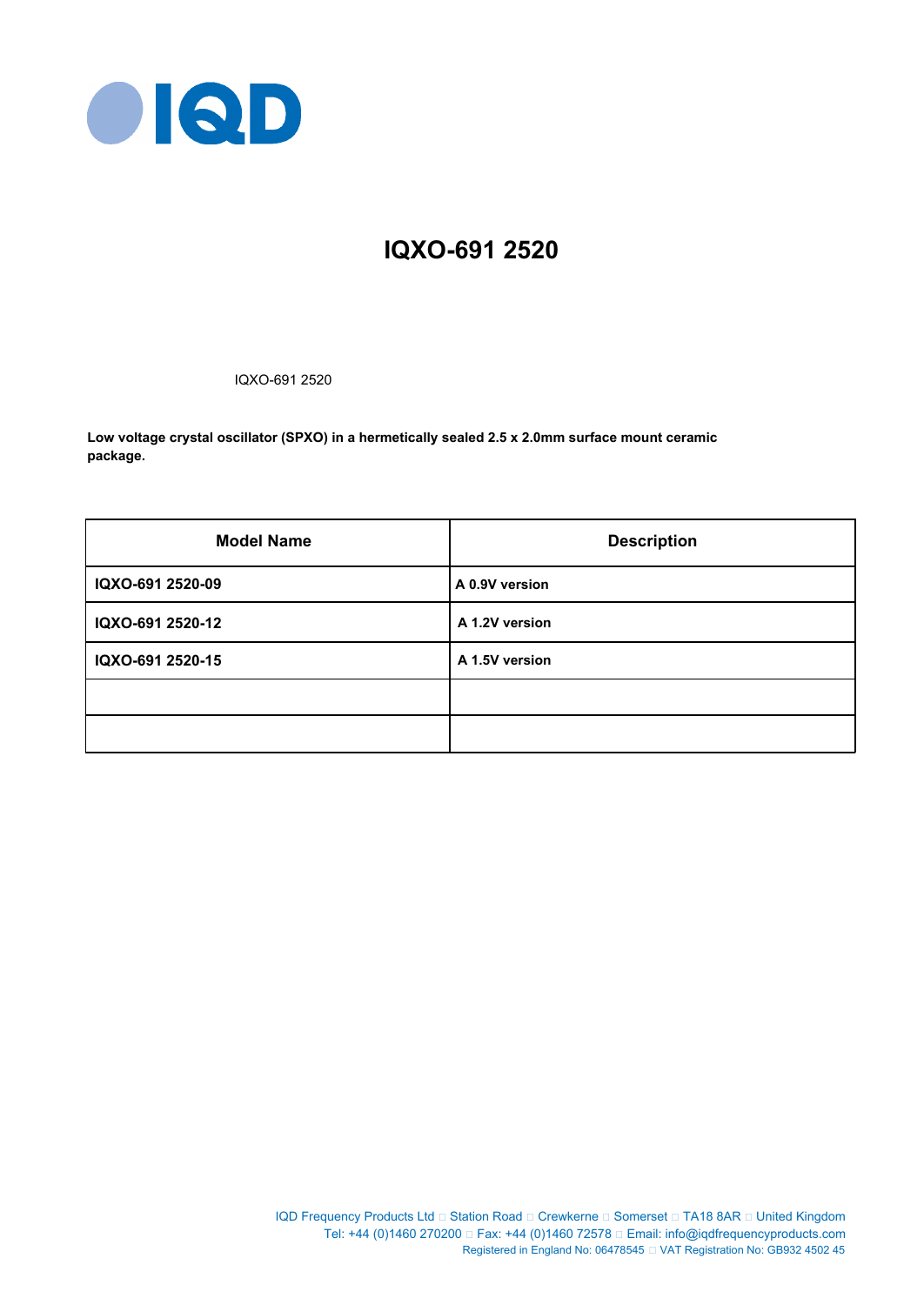

# **IQXO-691 2520**

IQXO-691 2520

**Low voltage crystal oscillator (SPXO) in a hermetically sealed 2.5 x 2.0mm surface mount ceramic package.**

| <b>Model Name</b> | <b>Description</b> |
|-------------------|--------------------|
| IQXO-691 2520-09  | A 0.9V version     |
| IQXO-691 2520-12  | A 1.2V version     |
| IQXO-691 2520-15  | A 1.5V version     |
|                   |                    |
|                   |                    |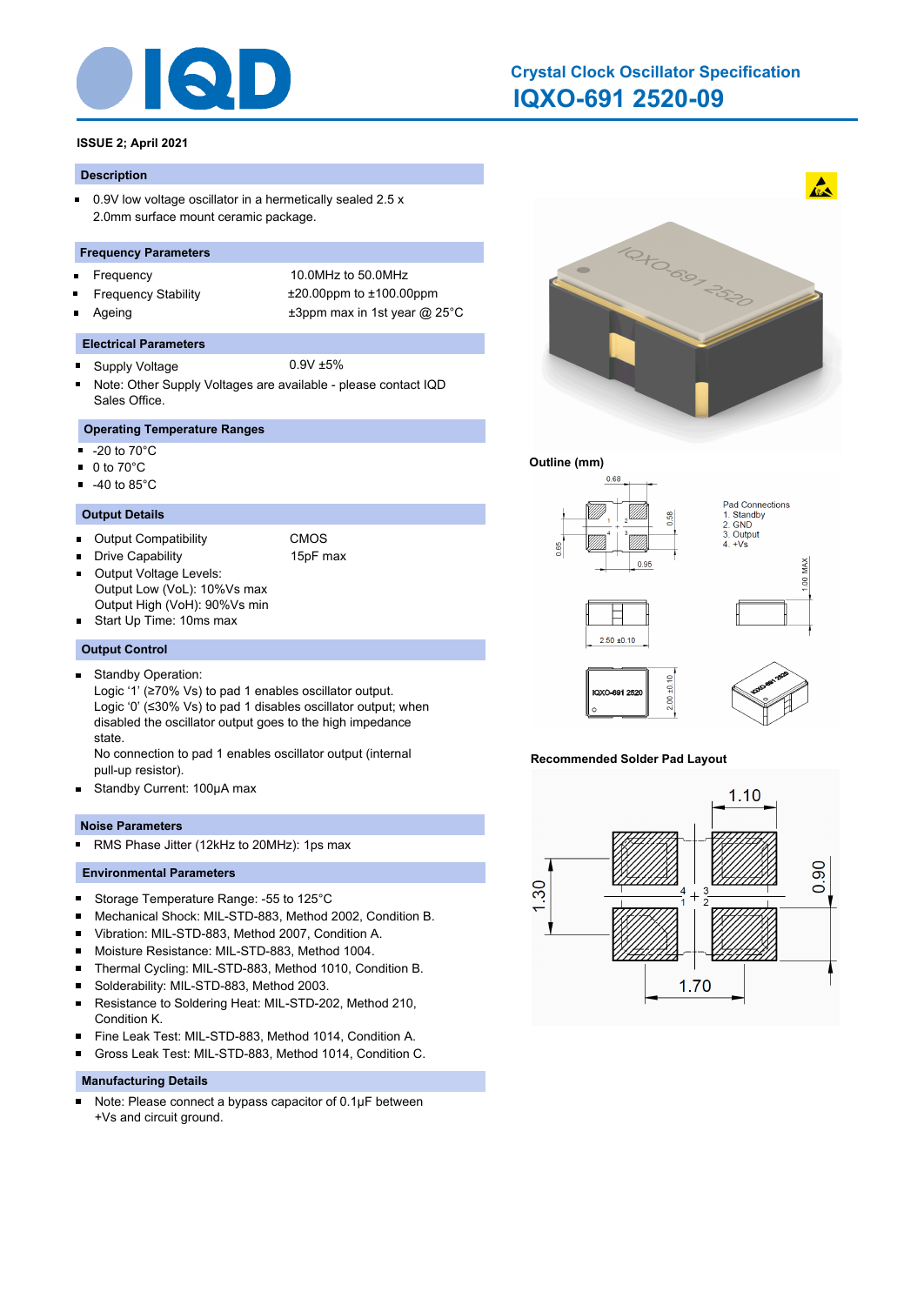

# **IQXO-691 2520-09 Crystal Clock Oscillator Specification**

# **ISSUE 2; April 2021**

#### **Description**

 $\blacksquare$ 0.9V low voltage oscillator in a hermetically sealed 2.5 x 2.0mm surface mount ceramic package.

#### **Frequency Parameters**

- $\blacksquare$
- 
- 

Frequency 10.0MHz to 50.0MHz Frequency Stability ±20.00ppm to ±100.00ppm Ageing  $\qquad \qquad \pm 3$ ppm max in 1st year @ 25°C

#### **Electrical Parameters**

- Supply Voltage 0.9V ±5%  $\blacksquare$
- Note: Other Supply Voltages are available please contact IQD Sales Office.

# **Operating Temperature Ranges**

- $\blacksquare$ -20 to 70°C
- 0 to 70°C  $\blacksquare$
- $-40$  to 85 $^{\circ}$ C

#### **Output Details**

- Output Compatibility CMOS
	-
- Drive Capability 15pF max Output Voltage Levels: п
	-
- Output Low (VoL): 10%Vs max Output High (VoH): 90%Vs min
- Start Up Time: 10ms max

#### **Output Control**

- Standby Operation:  $\blacksquare$ 
	- Logic '1' (≥70% Vs) to pad 1 enables oscillator output. Logic '0' (≤30% Vs) to pad 1 disables oscillator output; when disabled the oscillator output goes to the high impedance state.
	- No connection to pad 1 enables oscillator output (internal pull-up resistor).
- $\blacksquare$ Standby Current: 100μA max

#### **Noise Parameters**

RMS Phase Jitter (12kHz to 20MHz): 1ps max  $\blacksquare$ 

#### **Environmental Parameters**

- $\blacksquare$ Storage Temperature Range: -55 to 125°C
- Mechanical Shock: MIL-STD-883, Method 2002, Condition B. ×
- Vibration: MIL-STD-883, Method 2007, Condition A. ×
- $\blacksquare$ Moisture Resistance: MIL-STD-883, Method 1004.
- $\blacksquare$ Thermal Cycling: MIL-STD-883, Method 1010, Condition B.
- $\blacksquare$ Solderability: MIL-STD-883, Method 2003.
- $\blacksquare$ Resistance to Soldering Heat: MIL-STD-202, Method 210, Condition K.
- Fine Leak Test: MIL-STD-883, Method 1014, Condition A.  $\blacksquare$
- Gross Leak Test: MIL-STD-883, Method 1014, Condition C. n

#### **Manufacturing Details**

Note: Please connect a bypass capacitor of 0.1μF between  $\blacksquare$ +Vs and circuit ground.



#### **Outline (mm)**



#### **Recommended Solder Pad Layout**

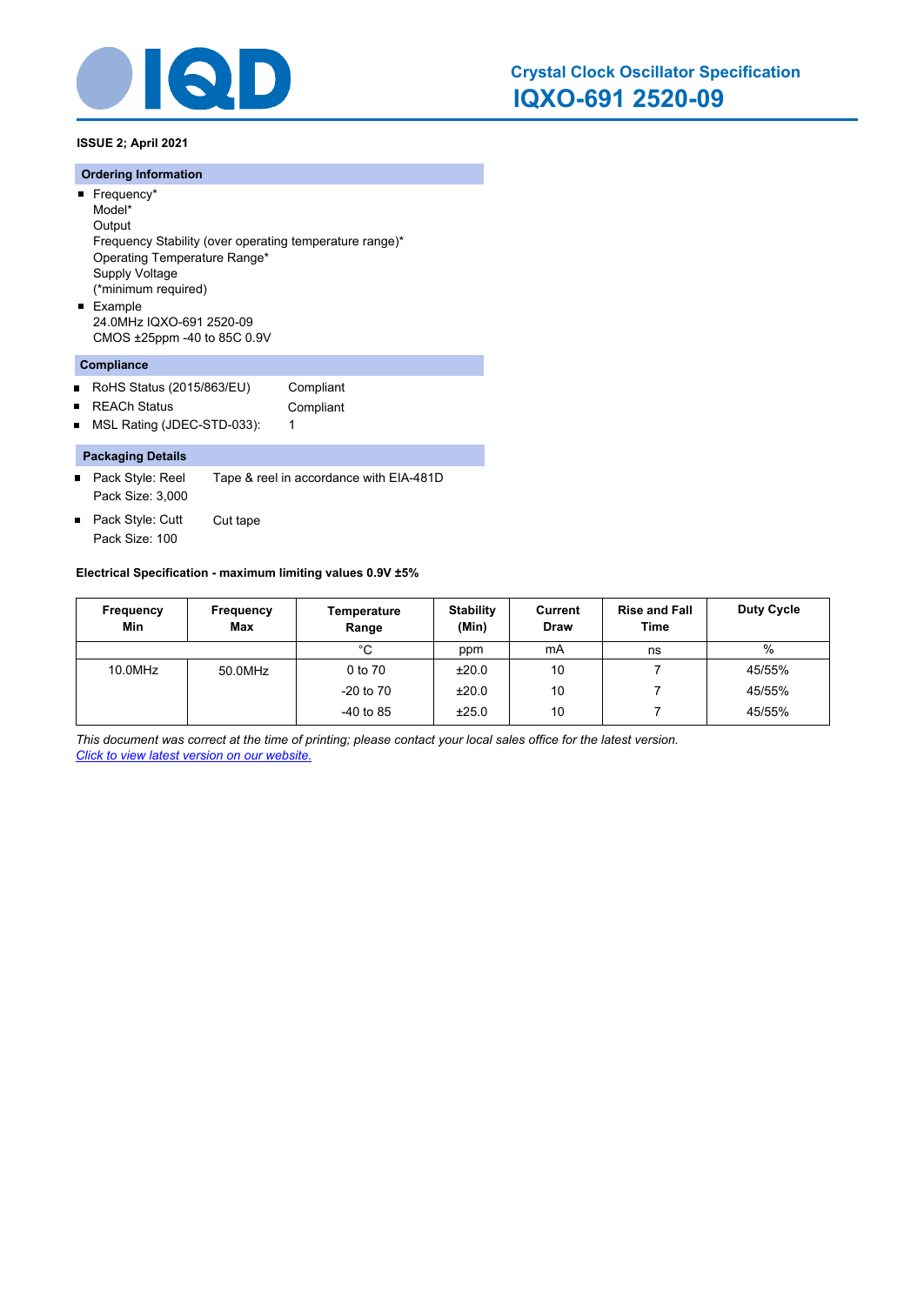

**ISSUE 2; April 2021**

#### **Ordering Information**

- Frequency\* Model\* **Output** Frequency Stability (over operating temperature range)\* Operating Temperature Range\* Supply Voltage (\*minimum required) **Example**
- 24.0MHz IQXO-691 2520-09 CMOS ±25ppm -40 to 85C 0.9V

# **Compliance**

- $\blacksquare$ RoHS Status (2015/863/EU) Compliant
- REACh Status **Compliant**  $\blacksquare$
- MSL Rating (JDEC-STD-033): 1  $\blacksquare$

### **Packaging Details**

- Pack Style: Reel Tape & reel in accordance with EIA-481D Pack Size: 3,000
- Pack Style: Cutt Cut tape  $\blacksquare$ Pack Size: 100

#### **Electrical Specification - maximum limiting values 0.9V ±5%**

| Frequency<br>Min | Frequency<br><b>Max</b> | Temperature<br>Range | <b>Stability</b><br>(Min) | Current<br><b>Draw</b> | <b>Rise and Fall</b><br>Time | Duty Cycle |
|------------------|-------------------------|----------------------|---------------------------|------------------------|------------------------------|------------|
|                  |                         | °C                   | ppm                       | mA                     | ns                           | $\%$       |
| 10.0MHz          | 50.0MHz                 | 0 to 70              | ±20.0                     | 10                     |                              | 45/55%     |
|                  |                         | $-20$ to $70$        | ±20.0                     | 10                     |                              | 45/55%     |
|                  |                         | $-40$ to 85          | ±25.0                     | 10                     |                              | 45/55%     |

*This document was correct at the time of printing; please contact your local sales office for the latest version. Click to view latest version on our website.*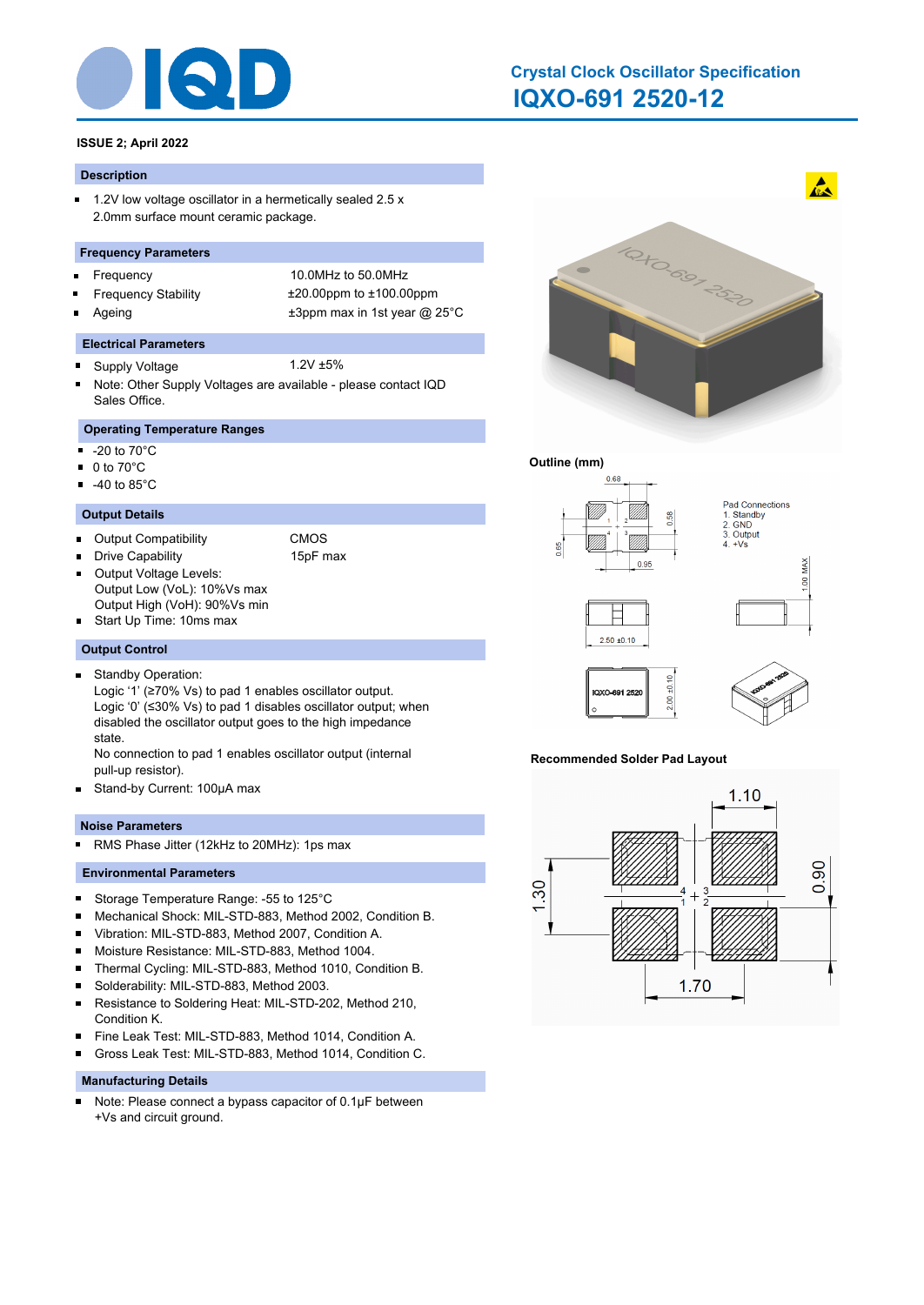

# **IQXO-691 2520-12 Crystal Clock Oscillator Specification**

# **ISSUE 2; April 2022**

#### **Description**

 $\blacksquare$ 1.2V low voltage oscillator in a hermetically sealed 2.5 x 2.0mm surface mount ceramic package.

#### **Frequency Parameters**

- $\blacksquare$
- 
- 

Frequency 10.0MHz to 50.0MHz Frequency Stability ±20.00ppm to ±100.00ppm Ageing  $\qquad \qquad \pm 3$ ppm max in 1st year @ 25°C

#### **Electrical Parameters**

- Supply Voltage 1.2V ±5%  $\blacksquare$
- Note: Other Supply Voltages are available please contact IQD Sales Office.

# **Operating Temperature Ranges**

- $\blacksquare$ -20 to 70°C
- 0 to 70°C  $\blacksquare$
- $-40$  to 85 $^{\circ}$ C

#### **Output Details**

- Output Compatibility CMOS
	-
- Drive Capability 15pF max Output Voltage Levels: П
	-
- Output Low (VoL): 10%Vs max Output High (VoH): 90%Vs min
- Start Up Time: 10ms max

#### **Output Control**

- Standby Operation:  $\blacksquare$ 
	- Logic '1' (≥70% Vs) to pad 1 enables oscillator output. Logic '0' (≤30% Vs) to pad 1 disables oscillator output; when disabled the oscillator output goes to the high impedance state.
	- No connection to pad 1 enables oscillator output (internal pull-up resistor).
- $\blacksquare$ Stand-by Current: 100μA max

#### **Noise Parameters**

RMS Phase Jitter (12kHz to 20MHz): 1ps max  $\blacksquare$ 

#### **Environmental Parameters**

- $\blacksquare$ Storage Temperature Range: -55 to 125°C
- Mechanical Shock: MIL-STD-883, Method 2002, Condition B. ×
- Vibration: MIL-STD-883, Method 2007, Condition A. ×
- $\blacksquare$ Moisture Resistance: MIL-STD-883, Method 1004.
- $\blacksquare$ Thermal Cycling: MIL-STD-883, Method 1010, Condition B.
- $\blacksquare$ Solderability: MIL-STD-883, Method 2003.
- $\blacksquare$ Resistance to Soldering Heat: MIL-STD-202, Method 210, Condition K.
- Fine Leak Test: MIL-STD-883, Method 1014, Condition A.  $\blacksquare$
- Gross Leak Test: MIL-STD-883, Method 1014, Condition C. n

#### **Manufacturing Details**

Note: Please connect a bypass capacitor of 0.1μF between  $\blacksquare$ +Vs and circuit ground.



#### **Outline (mm)**



#### **Recommended Solder Pad Layout**

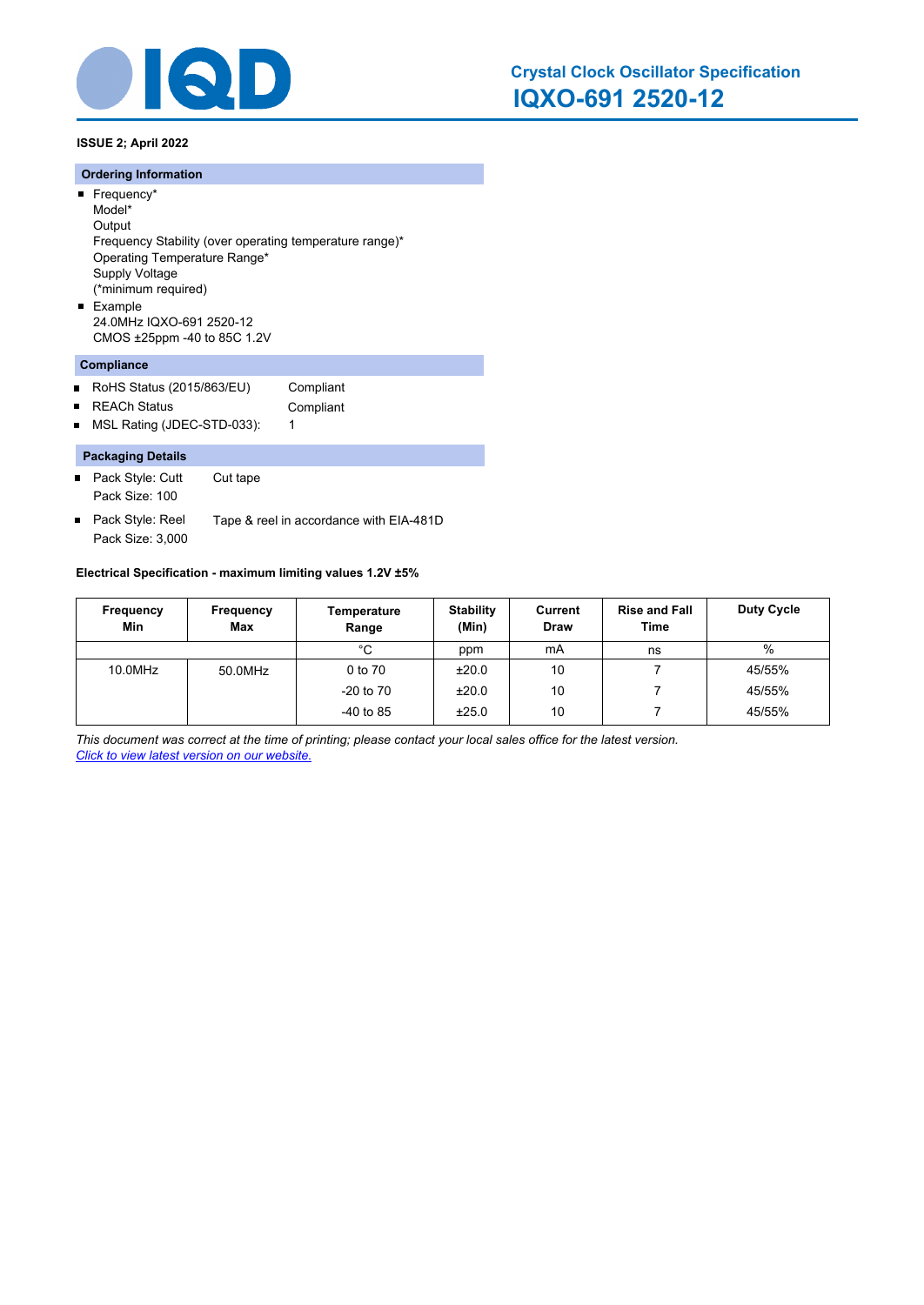

**ISSUE 2; April 2022**

#### **Ordering Information**

- Frequency\* Model\*
- **Output** Frequency Stability (over operating temperature range)\* Operating Temperature Range\* Supply Voltage (\*minimum required) **Example**
- 24.0MHz IQXO-691 2520-12 CMOS ±25ppm -40 to 85C 1.2V

## **Compliance**

- $\blacksquare$ RoHS Status (2015/863/EU) Compliant
- REACh Status **Compliant**  $\blacksquare$
- MSL Rating (JDEC-STD-033): 1  $\blacksquare$

#### **Packaging Details**

- Pack Style: Cutt Cut tape Pack Size: 100
- Pack Style: Reel Tape & reel in accordance with EIA-481D  $\blacksquare$ Pack Size: 3,000

#### **Electrical Specification - maximum limiting values 1.2V ±5%**

| Frequency<br>Min | Frequency<br><b>Max</b> | Temperature<br>Range | <b>Stability</b><br>(Min) | Current<br><b>Draw</b> | <b>Rise and Fall</b><br>Time | <b>Duty Cycle</b> |
|------------------|-------------------------|----------------------|---------------------------|------------------------|------------------------------|-------------------|
|                  |                         | °C                   | ppm                       | mA                     | ns                           | %                 |
| 10.0MHz          | 50.0MHz                 | 0 to 70              | ±20.0                     | 10                     |                              | 45/55%            |
|                  |                         | $-20$ to $70$        | ±20.0                     | 10                     |                              | 45/55%            |
|                  |                         | $-40$ to 85          | ±25.0                     | 10                     |                              | 45/55%            |

*This document was correct at the time of printing; please contact your local sales office for the latest version. Click to view latest version on our website.*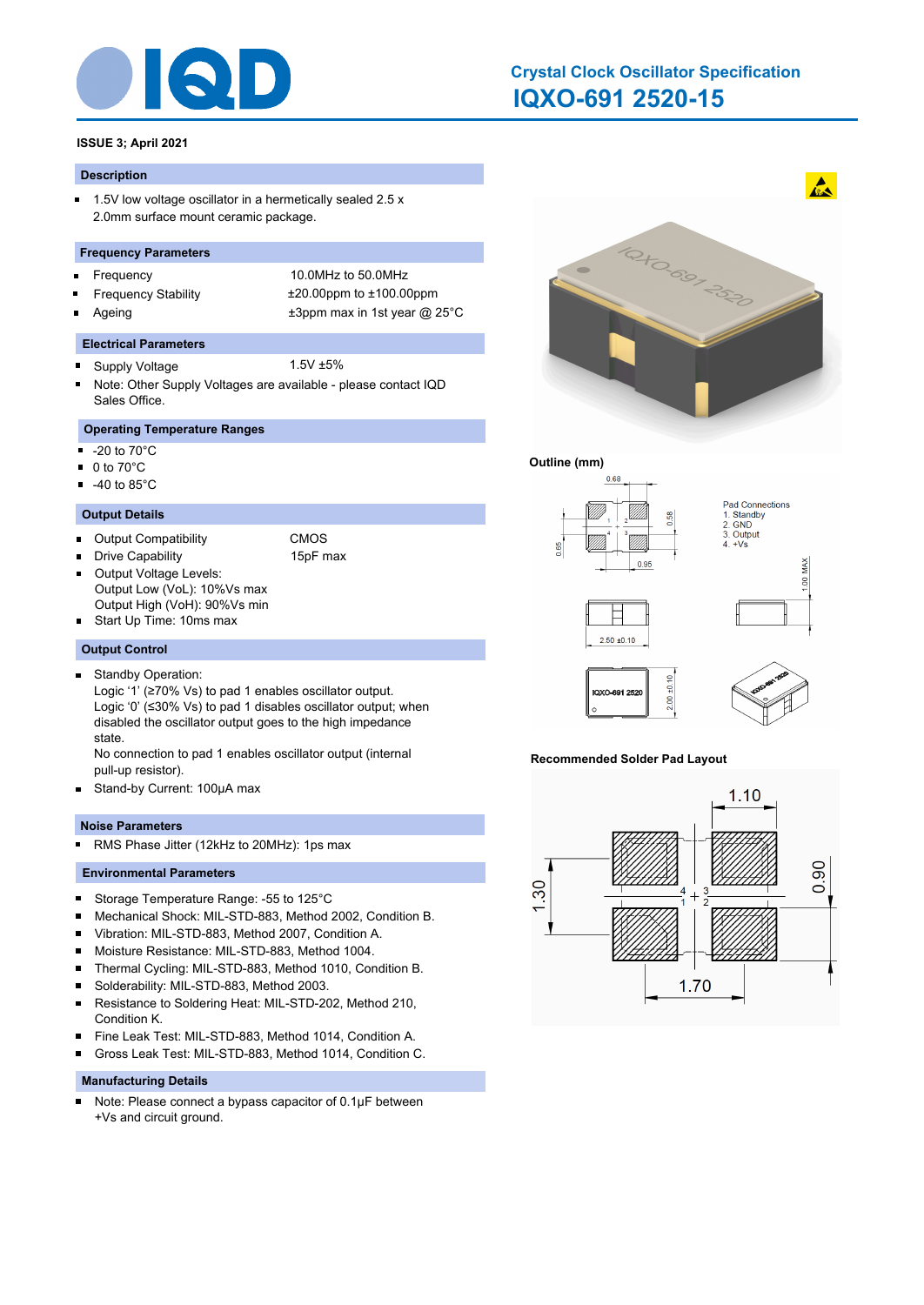

# **IQXO-691 2520-15 Crystal Clock Oscillator Specification**

# **ISSUE 3; April 2021**

#### **Description**

 $\blacksquare$ 1.5V low voltage oscillator in a hermetically sealed 2.5 x 2.0mm surface mount ceramic package.

#### **Frequency Parameters**

- $\blacksquare$
- 
- 

Frequency 10.0MHz to 50.0MHz Frequency Stability ±20.00ppm to ±100.00ppm Ageing  $\qquad \qquad \pm 3$ ppm max in 1st year @ 25°C

#### **Electrical Parameters**

- Supply Voltage 1.5V ±5%  $\blacksquare$
- Note: Other Supply Voltages are available please contact IQD Sales Office.

# **Operating Temperature Ranges**

- $\blacksquare$ -20 to 70°C
- 0 to 70°C  $\blacksquare$
- $-40$  to 85 $^{\circ}$ C

#### **Output Details**

- Output Compatibility CMOS
	-
- Drive Capability 15pF max Output Voltage Levels: п
	-
- Output Low (VoL): 10%Vs max Output High (VoH): 90%Vs min
- Start Up Time: 10ms max

#### **Output Control**

- Standby Operation:  $\blacksquare$ 
	- Logic '1' (≥70% Vs) to pad 1 enables oscillator output. Logic '0' (≤30% Vs) to pad 1 disables oscillator output; when disabled the oscillator output goes to the high impedance state.
	- No connection to pad 1 enables oscillator output (internal pull-up resistor).
- $\blacksquare$ Stand-by Current: 100μA max

#### **Noise Parameters**

RMS Phase Jitter (12kHz to 20MHz): 1ps max  $\blacksquare$ 

#### **Environmental Parameters**

- $\blacksquare$ Storage Temperature Range: -55 to 125°C
- Mechanical Shock: MIL-STD-883, Method 2002, Condition B. ×
- Vibration: MIL-STD-883, Method 2007, Condition A. ×
- $\blacksquare$ Moisture Resistance: MIL-STD-883, Method 1004.
- $\blacksquare$ Thermal Cycling: MIL-STD-883, Method 1010, Condition B.
- $\blacksquare$ Solderability: MIL-STD-883, Method 2003.
- $\blacksquare$ Resistance to Soldering Heat: MIL-STD-202, Method 210, Condition K.
- Fine Leak Test: MIL-STD-883, Method 1014, Condition A.  $\blacksquare$
- Gross Leak Test: MIL-STD-883, Method 1014, Condition C. n

#### **Manufacturing Details**

Note: Please connect a bypass capacitor of 0.1μF between  $\blacksquare$ +Vs and circuit ground.



#### **Outline (mm)**



#### **Recommended Solder Pad Layout**